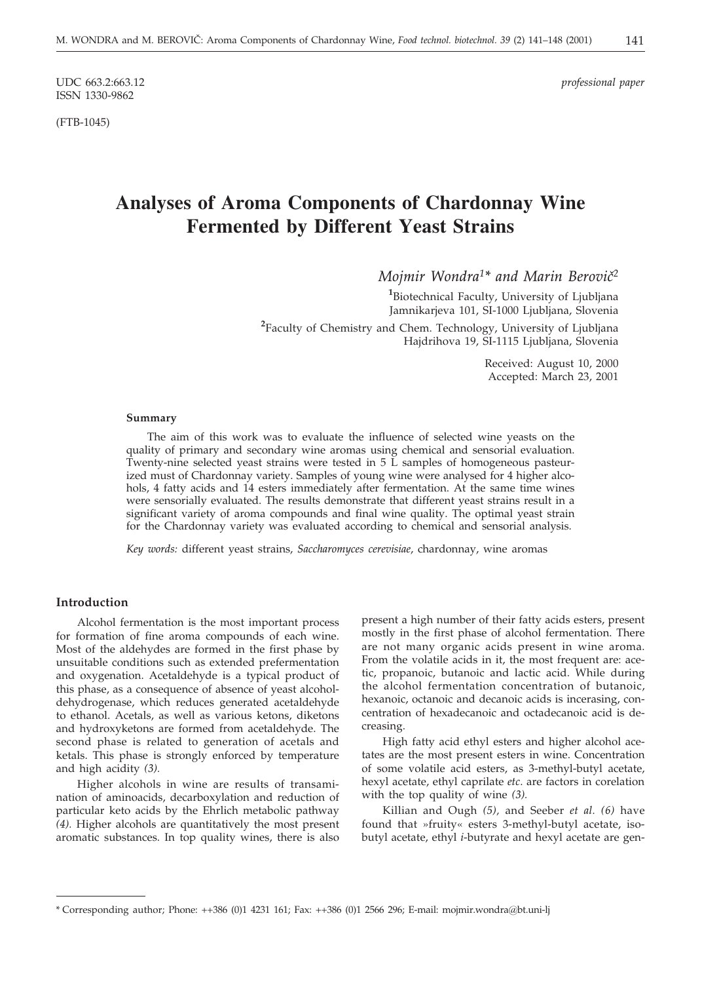ISSN 1330-9862

(FTB-1045)

UDC 663.2:663.12 *professional paper*

# **Analyses of Aroma Components of Chardonnay Wine Fermented by Different Yeast Strains**

*Mojmir Wondra<sup>1\*</sup> and Marin Berovič<sup>2</sup>* 

**1** Biotechnical Faculty, University of Ljubljana Jamnikarjeva 101, SI-1000 Ljubljana, Slovenia

**2** Faculty of Chemistry and Chem. Technology, University of Ljubljana Hajdrihova 19, SI-1115 Ljubljana, Slovenia

> Received: August 10, 2000 Accepted: March 23, 2001

#### **Summary**

The aim of this work was to evaluate the influence of selected wine yeasts on the quality of primary and secondary wine aromas using chemical and sensorial evaluation. Twenty-nine selected yeast strains were tested in 5 L samples of homogeneous pasteurized must of Chardonnay variety. Samples of young wine were analysed for 4 higher alcohols, 4 fatty acids and 14 esters immediately after fermentation. At the same time wines were sensorially evaluated. The results demonstrate that different yeast strains result in a significant variety of aroma compounds and final wine quality. The optimal yeast strain for the Chardonnay variety was evaluated according to chemical and sensorial analysis.

*Key words:* different yeast strains, *Saccharomyces cerevisiae*, chardonnay, wine aromas

#### **Introduction**

Alcohol fermentation is the most important process for formation of fine aroma compounds of each wine. Most of the aldehydes are formed in the first phase by unsuitable conditions such as extended prefermentation and oxygenation. Acetaldehyde is a typical product of this phase, as a consequence of absence of yeast alcoholdehydrogenase, which reduces generated acetaldehyde to ethanol. Acetals, as well as various ketons, diketons and hydroxyketons are formed from acetaldehyde. The second phase is related to generation of acetals and ketals. This phase is strongly enforced by temperature and high acidity *(3).*

Higher alcohols in wine are results of transamination of aminoacids, decarboxylation and reduction of particular keto acids by the Ehrlich metabolic pathway *(4).* Higher alcohols are quantitatively the most present aromatic substances. In top quality wines, there is also

present a high number of their fatty acids esters, present mostly in the first phase of alcohol fermentation. There are not many organic acids present in wine aroma. From the volatile acids in it, the most frequent are: acetic, propanoic, butanoic and lactic acid. While during the alcohol fermentation concentration of butanoic, hexanoic, octanoic and decanoic acids is incerasing, concentration of hexadecanoic and octadecanoic acid is decreasing.

High fatty acid ethyl esters and higher alcohol acetates are the most present esters in wine. Concentration of some volatile acid esters, as 3-methyl-butyl acetate, hexyl acetate, ethyl caprilate *etc*. are factors in corelation with the top quality of wine *(3).*

Killian and Ough *(5),* and Seeber *et al. (6)* have found that »fruity« esters 3-methyl-butyl acetate, isobutyl acetate, ethyl *i*-butyrate and hexyl acetate are gen-

<sup>\*</sup> Corresponding author; Phone: ++386 (0)1 4231 161; Fax: ++386 (0)1 2566 296; E-mail: mojmir.wondra*@*bt.uni-lj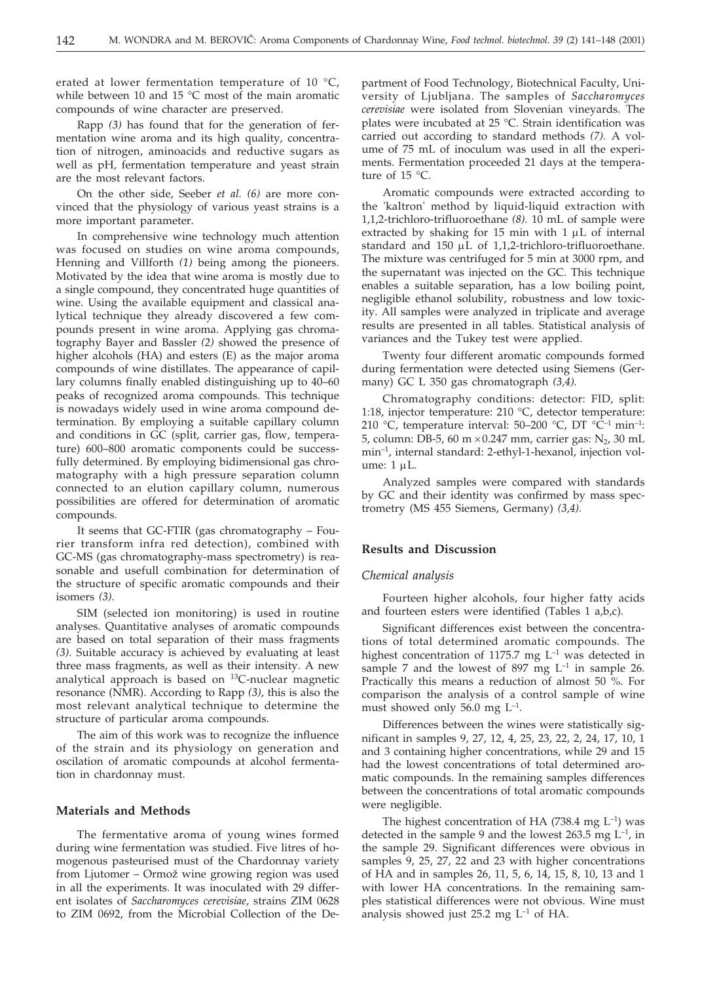erated at lower fermentation temperature of 10 °C, while between 10 and 15 °C most of the main aromatic compounds of wine character are preserved.

Rapp *(3)* has found that for the generation of fermentation wine aroma and its high quality, concentration of nitrogen, aminoacids and reductive sugars as well as pH, fermentation temperature and yeast strain are the most relevant factors.

On the other side, Seeber *et al. (6)* are more convinced that the physiology of various yeast strains is a more important parameter.

In comprehensive wine technology much attention was focused on studies on wine aroma compounds, Henning and Villforth *(1)* being among the pioneers. Motivated by the idea that wine aroma is mostly due to a single compound, they concentrated huge quantities of wine. Using the available equipment and classical analytical technique they already discovered a few compounds present in wine aroma. Applying gas chromatography Bayer and Bassler *(2)* showed the presence of higher alcohols (HA) and esters (E) as the major aroma compounds of wine distillates. The appearance of capillary columns finally enabled distinguishing up to 40–60 peaks of recognized aroma compounds. This technique is nowadays widely used in wine aroma compound determination. By employing a suitable capillary column and conditions in GC (split, carrier gas, flow, temperature) 600–800 aromatic components could be successfully determined. By employing bidimensional gas chromatography with a high pressure separation column connected to an elution capillary column, numerous possibilities are offered for determination of aromatic compounds.

It seems that GC-FTIR (gas chromatography – Fourier transform infra red detection), combined with GC-MS (gas chromatography-mass spectrometry) is reasonable and usefull combination for determination of the structure of specific aromatic compounds and their isomers *(3).*

SIM (selected ion monitoring) is used in routine analyses. Quantitative analyses of aromatic compounds are based on total separation of their mass fragments *(3).* Suitable accuracy is achieved by evaluating at least three mass fragments, as well as their intensity. A new analytical approach is based on  $^{13}$ C-nuclear magnetic resonance (NMR). According to Rapp *(3)*, this is also the most relevant analytical technique to determine the structure of particular aroma compounds.

The aim of this work was to recognize the influence of the strain and its physiology on generation and oscilation of aromatic compounds at alcohol fermentation in chardonnay must.

#### **Materials and Methods**

The fermentative aroma of young wines formed during wine fermentation was studied. Five litres of homogenous pasteurised must of the Chardonnay variety from Ljutomer – Ormož wine growing region was used in all the experiments. It was inoculated with 29 different isolates of *Saccharomyces cerevisiae*, strains ZIM 0628 to ZIM 0692, from the Microbial Collection of the Department of Food Technology, Biotechnical Faculty, University of Ljubljana. The samples of *Saccharomyces cerevisiae* were isolated from Slovenian vineyards. The plates were incubated at 25 °C. Strain identification was carried out according to standard methods *(7).* A volume of 75 mL of inoculum was used in all the experiments. Fermentation proceeded 21 days at the temperature of 15 °C.

Aromatic compounds were extracted according to the 'kaltron' method by liquid-liquid extraction with 1,1,2-trichloro-trifluoroethane *(8).* 10 mL of sample were extracted by shaking for 15 min with  $1 \mu L$  of internal standard and  $150 \mu L$  of  $1,1,2$ -trichloro-trifluoroethane. The mixture was centrifuged for 5 min at 3000 rpm, and the supernatant was injected on the GC. This technique enables a suitable separation, has a low boiling point, negligible ethanol solubility, robustness and low toxicity. All samples were analyzed in triplicate and average results are presented in all tables. Statistical analysis of variances and the Tukey test were applied.

Twenty four different aromatic compounds formed during fermentation were detected using Siemens (Germany) GC L 350 gas chromatograph *(3,4).*

Chromatography conditions: detector: FID, split: 1:18, injector temperature: 210 °C, detector temperature: 210 °C, temperature interval: 50–200 °C, DT °C<sup>-1</sup> min<sup>-1</sup>: 5, column: DB-5, 60 m  $\times$ 0.247 mm, carrier gas: N<sub>2</sub>, 30 mL min–1, internal standard: 2-ethyl-1-hexanol, injection volume:  $1 \mu L$ .

Analyzed samples were compared with standards by GC and their identity was confirmed by mass spectrometry (MS 455 Siemens, Germany) *(3,4).*

### **Results and Discussion**

# *Chemical analysis*

Fourteen higher alcohols, four higher fatty acids and fourteen esters were identified (Tables 1 a,b,c).

Significant differences exist between the concentrations of total determined aromatic compounds. The highest concentration of 1175.7 mg  $L^{-1}$  was detected in sample 7 and the lowest of 897 mg  $L^{-1}$  in sample 26. Practically this means a reduction of almost 50 %. For comparison the analysis of a control sample of wine must showed only 56.0 mg  $L^{-1}$ .

Differences between the wines were statistically significant in samples 9, 27, 12, 4, 25, 23, 22, 2, 24, 17, 10, 1 and 3 containing higher concentrations, while 29 and 15 had the lowest concentrations of total determined aromatic compounds. In the remaining samples differences between the concentrations of total aromatic compounds were negligible.

The highest concentration of HA (738.4 mg  $L^{-1}$ ) was detected in the sample 9 and the lowest 263.5 mg  $L^{-1}$ , in the sample 29. Significant differences were obvious in samples 9, 25, 27, 22 and 23 with higher concentrations of HA and in samples 26, 11, 5, 6, 14, 15, 8, 10, 13 and 1 with lower HA concentrations. In the remaining samples statistical differences were not obvious. Wine must analysis showed just 25.2 mg  $L^{-1}$  of HA.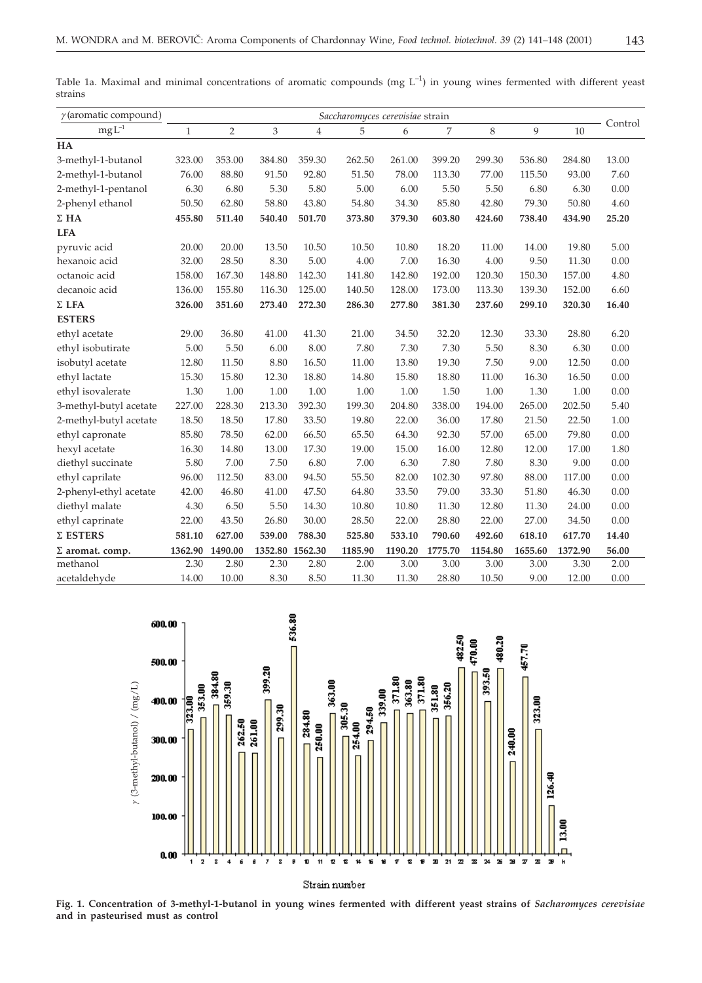| $\gamma$ (aromatic compound) | Saccharomyces cerevisiae strain |         |                 |        |         |         |         |         |         |         |         |
|------------------------------|---------------------------------|---------|-----------------|--------|---------|---------|---------|---------|---------|---------|---------|
| $mgL^{-1}$                   | $\mathbf{1}$                    | 2       | 3               | 4      | 5       | 6       | 7       | 8       | 9       | 10      | Control |
| HA                           |                                 |         |                 |        |         |         |         |         |         |         |         |
| 3-methyl-1-butanol           | 323.00                          | 353.00  | 384.80          | 359.30 | 262.50  | 261.00  | 399.20  | 299.30  | 536.80  | 284.80  | 13.00   |
| 2-methyl-1-butanol           | 76.00                           | 88.80   | 91.50           | 92.80  | 51.50   | 78.00   | 113.30  | 77.00   | 115.50  | 93.00   | 7.60    |
| 2-methyl-1-pentanol          | 6.30                            | 6.80    | 5.30            | 5.80   | 5.00    | 6.00    | 5.50    | 5.50    | 6.80    | 6.30    | 0.00    |
| 2-phenyl ethanol             | 50.50                           | 62.80   | 58.80           | 43.80  | 54.80   | 34.30   | 85.80   | 42.80   | 79.30   | 50.80   | 4.60    |
| $\Sigma$ HA                  | 455.80                          | 511.40  | 540.40          | 501.70 | 373.80  | 379.30  | 603.80  | 424.60  | 738.40  | 434.90  | 25.20   |
| <b>LFA</b>                   |                                 |         |                 |        |         |         |         |         |         |         |         |
| pyruvic acid                 | 20.00                           | 20.00   | 13.50           | 10.50  | 10.50   | 10.80   | 18.20   | 11.00   | 14.00   | 19.80   | 5.00    |
| hexanoic acid                | 32.00                           | 28.50   | 8.30            | 5.00   | 4.00    | 7.00    | 16.30   | 4.00    | 9.50    | 11.30   | 0.00    |
| octanoic acid                | 158.00                          | 167.30  | 148.80          | 142.30 | 141.80  | 142.80  | 192.00  | 120.30  | 150.30  | 157.00  | 4.80    |
| decanoic acid                | 136.00                          | 155.80  | 116.30          | 125.00 | 140.50  | 128.00  | 173.00  | 113.30  | 139.30  | 152.00  | 6.60    |
| $\Sigma$ LFA                 | 326.00                          | 351.60  | 273.40          | 272.30 | 286.30  | 277.80  | 381.30  | 237.60  | 299.10  | 320.30  | 16.40   |
| <b>ESTERS</b>                |                                 |         |                 |        |         |         |         |         |         |         |         |
| ethyl acetate                | 29.00                           | 36.80   | 41.00           | 41.30  | 21.00   | 34.50   | 32.20   | 12.30   | 33.30   | 28.80   | 6.20    |
| ethyl isobutirate            | 5.00                            | 5.50    | 6.00            | 8.00   | 7.80    | 7.30    | 7.30    | 5.50    | 8.30    | 6.30    | 0.00    |
| isobutyl acetate             | 12.80                           | 11.50   | 8.80            | 16.50  | 11.00   | 13.80   | 19.30   | 7.50    | 9.00    | 12.50   | 0.00    |
| ethyl lactate                | 15.30                           | 15.80   | 12.30           | 18.80  | 14.80   | 15.80   | 18.80   | 11.00   | 16.30   | 16.50   | 0.00    |
| ethyl isovalerate            | 1.30                            | 1.00    | 1.00            | 1.00   | 1.00    | 1.00    | 1.50    | 1.00    | 1.30    | 1.00    | 0.00    |
| 3-methyl-butyl acetate       | 227.00                          | 228.30  | 213.30          | 392.30 | 199.30  | 204.80  | 338.00  | 194.00  | 265.00  | 202.50  | 5.40    |
| 2-methyl-butyl acetate       | 18.50                           | 18.50   | 17.80           | 33.50  | 19.80   | 22.00   | 36.00   | 17.80   | 21.50   | 22.50   | 1.00    |
| ethyl capronate              | 85.80                           | 78.50   | 62.00           | 66.50  | 65.50   | 64.30   | 92.30   | 57.00   | 65.00   | 79.80   | 0.00    |
| hexyl acetate                | 16.30                           | 14.80   | 13.00           | 17.30  | 19.00   | 15.00   | 16.00   | 12.80   | 12.00   | 17.00   | 1.80    |
| diethyl succinate            | 5.80                            | 7.00    | 7.50            | 6.80   | 7.00    | 6.30    | 7.80    | 7.80    | 8.30    | 9.00    | 0.00    |
| ethyl caprilate              | 96.00                           | 112.50  | 83.00           | 94.50  | 55.50   | 82.00   | 102.30  | 97.80   | 88.00   | 117.00  | 0.00    |
| 2-phenyl-ethyl acetate       | 42.00                           | 46.80   | 41.00           | 47.50  | 64.80   | 33.50   | 79.00   | 33.30   | 51.80   | 46.30   | 0.00    |
| diethyl malate               | 4.30                            | 6.50    | 5.50            | 14.30  | 10.80   | 10.80   | 11.30   | 12.80   | 11.30   | 24.00   | 0.00    |
| ethyl caprinate              | 22.00                           | 43.50   | 26.80           | 30.00  | 28.50   | 22.00   | 28.80   | 22.00   | 27.00   | 34.50   | 0.00    |
| $\Sigma$ ESTERS              | 581.10                          | 627.00  | 539.00          | 788.30 | 525.80  | 533.10  | 790.60  | 492.60  | 618.10  | 617.70  | 14.40   |
| $\Sigma$ aromat. comp.       | 1362.90                         | 1490.00 | 1352.80 1562.30 |        | 1185.90 | 1190.20 | 1775.70 | 1154.80 | 1655.60 | 1372.90 | 56.00   |
| methanol                     | 2.30                            | 2.80    | 2.30            | 2.80   | 2.00    | 3.00    | 3.00    | 3.00    | 3.00    | 3.30    | 2.00    |
| acetaldehyde                 | 14.00                           | 10.00   | 8.30            | 8.50   | 11.30   | 11.30   | 28.80   | 10.50   | 9.00    | 12.00   | 0.00    |

Table 1a. Maximal and minimal concentrations of aromatic compounds (mg  $L^{-1}$ ) in young wines fermented with different yeast strains



**Fig. 1. Concentration of 3-methyl-1-butanol in young wines fermented with different yeast strains of** *Sacharomyces cerevisiae* **and in pasteurised must as control**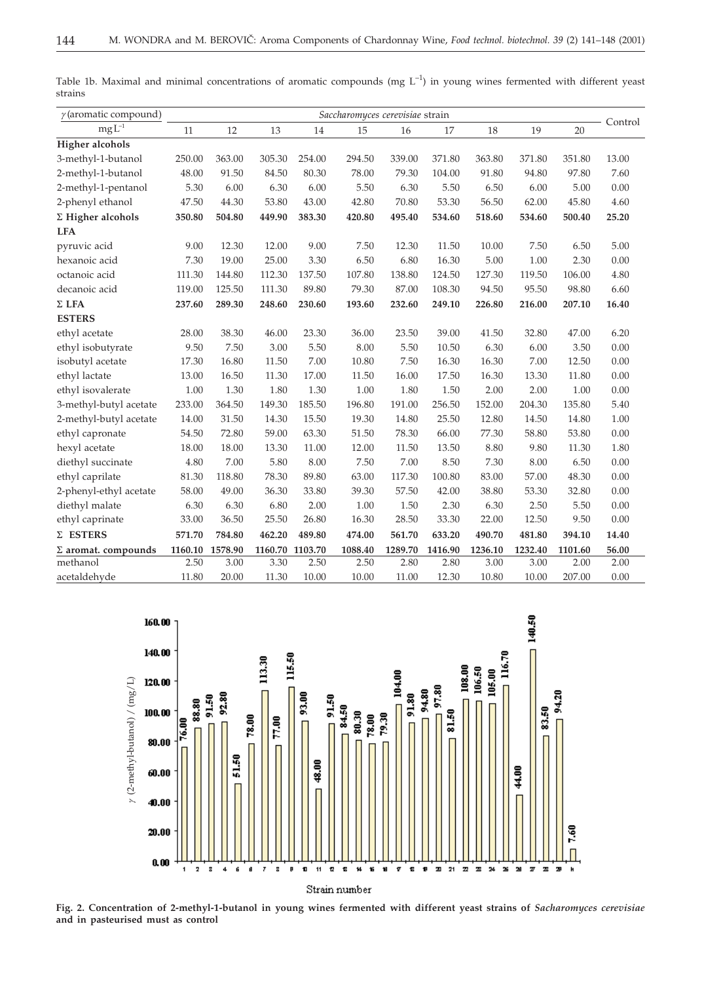| $\gamma$ (aromatic compound) | Saccharomyces cerevisiae strain |         |                 |        |         |         |         |         |         |         |         |
|------------------------------|---------------------------------|---------|-----------------|--------|---------|---------|---------|---------|---------|---------|---------|
| $mgL^{-1}$                   | 11                              | 12      | 13              | 14     | 15      | 16      | 17      | 18      | 19      | 20      | Control |
| <b>Higher alcohols</b>       |                                 |         |                 |        |         |         |         |         |         |         |         |
| 3-methyl-1-butanol           | 250.00                          | 363.00  | 305.30          | 254.00 | 294.50  | 339.00  | 371.80  | 363.80  | 371.80  | 351.80  | 13.00   |
| 2-methyl-1-butanol           | 48.00                           | 91.50   | 84.50           | 80.30  | 78.00   | 79.30   | 104.00  | 91.80   | 94.80   | 97.80   | 7.60    |
| 2-methyl-1-pentanol          | 5.30                            | 6.00    | 6.30            | 6.00   | 5.50    | 6.30    | 5.50    | 6.50    | 6.00    | 5.00    | 0.00    |
| 2-phenyl ethanol             | 47.50                           | 44.30   | 53.80           | 43.00  | 42.80   | 70.80   | 53.30   | 56.50   | 62.00   | 45.80   | 4.60    |
| $\Sigma$ Higher alcohols     | 350.80                          | 504.80  | 449.90          | 383.30 | 420.80  | 495.40  | 534.60  | 518.60  | 534.60  | 500.40  | 25.20   |
| <b>LFA</b>                   |                                 |         |                 |        |         |         |         |         |         |         |         |
| pyruvic acid                 | 9.00                            | 12.30   | 12.00           | 9.00   | 7.50    | 12.30   | 11.50   | 10.00   | 7.50    | 6.50    | 5.00    |
| hexanoic acid                | 7.30                            | 19.00   | 25.00           | 3.30   | 6.50    | 6.80    | 16.30   | 5.00    | 1.00    | 2.30    | 0.00    |
| octanoic acid                | 111.30                          | 144.80  | 112.30          | 137.50 | 107.80  | 138.80  | 124.50  | 127.30  | 119.50  | 106.00  | 4.80    |
| decanoic acid                | 119.00                          | 125.50  | 111.30          | 89.80  | 79.30   | 87.00   | 108.30  | 94.50   | 95.50   | 98.80   | 6.60    |
| $\Sigma$ LFA                 | 237.60                          | 289.30  | 248.60          | 230.60 | 193.60  | 232.60  | 249.10  | 226.80  | 216.00  | 207.10  | 16.40   |
| <b>ESTERS</b>                |                                 |         |                 |        |         |         |         |         |         |         |         |
| ethyl acetate                | 28.00                           | 38.30   | 46.00           | 23.30  | 36.00   | 23.50   | 39.00   | 41.50   | 32.80   | 47.00   | 6.20    |
| ethyl isobutyrate            | 9.50                            | 7.50    | 3.00            | 5.50   | 8.00    | 5.50    | 10.50   | 6.30    | 6.00    | 3.50    | 0.00    |
| isobutyl acetate             | 17.30                           | 16.80   | 11.50           | 7.00   | 10.80   | 7.50    | 16.30   | 16.30   | 7.00    | 12.50   | 0.00    |
| ethyl lactate                | 13.00                           | 16.50   | 11.30           | 17.00  | 11.50   | 16.00   | 17.50   | 16.30   | 13.30   | 11.80   | 0.00    |
| ethyl isovalerate            | 1.00                            | 1.30    | 1.80            | 1.30   | 1.00    | 1.80    | 1.50    | 2.00    | 2.00    | 1.00    | 0.00    |
| 3-methyl-butyl acetate       | 233.00                          | 364.50  | 149.30          | 185.50 | 196.80  | 191.00  | 256.50  | 152.00  | 204.30  | 135.80  | 5.40    |
| 2-methyl-butyl acetate       | 14.00                           | 31.50   | 14.30           | 15.50  | 19.30   | 14.80   | 25.50   | 12.80   | 14.50   | 14.80   | 1.00    |
| ethyl capronate              | 54.50                           | 72.80   | 59.00           | 63.30  | 51.50   | 78.30   | 66.00   | 77.30   | 58.80   | 53.80   | 0.00    |
| hexyl acetate                | 18.00                           | 18.00   | 13.30           | 11.00  | 12.00   | 11.50   | 13.50   | 8.80    | 9.80    | 11.30   | 1.80    |
| diethyl succinate            | 4.80                            | 7.00    | 5.80            | 8.00   | 7.50    | 7.00    | 8.50    | 7.30    | 8.00    | 6.50    | 0.00    |
| ethyl caprilate              | 81.30                           | 118.80  | 78.30           | 89.80  | 63.00   | 117.30  | 100.80  | 83.00   | 57.00   | 48.30   | 0.00    |
| 2-phenyl-ethyl acetate       | 58.00                           | 49.00   | 36.30           | 33.80  | 39.30   | 57.50   | 42.00   | 38.80   | 53.30   | 32.80   | 0.00    |
| diethyl malate               | 6.30                            | 6.30    | 6.80            | 2.00   | 1.00    | 1.50    | 2.30    | 6.30    | 2.50    | 5.50    | 0.00    |
| ethyl caprinate              | 33.00                           | 36.50   | 25.50           | 26.80  | 16.30   | 28.50   | 33.30   | 22.00   | 12.50   | 9.50    | 0.00    |
| $\Sigma$ ESTERS              | 571.70                          | 784.80  | 462.20          | 489.80 | 474.00  | 561.70  | 633.20  | 490.70  | 481.80  | 394.10  | 14.40   |
| $\Sigma$ aromat. compounds   | 1160.10                         | 1578.90 | 1160.70 1103.70 |        | 1088.40 | 1289.70 | 1416.90 | 1236.10 | 1232.40 | 1101.60 | 56.00   |
| methanol                     | 2.50                            | 3.00    | 3.30            | 2.50   | 2.50    | 2.80    | 2.80    | 3.00    | 3.00    | 2.00    | 2.00    |
| acetaldehyde                 | 11.80                           | 20.00   | 11.30           | 10.00  | 10.00   | 11.00   | 12.30   | 10.80   | 10.00   | 207.00  | 0.00    |

Table 1b. Maximal and minimal concentrations of aromatic compounds (mg  $L^{-1}$ ) in young wines fermented with different yeast strains



**Fig. 2. Concentration of 2-methyl-1-butanol in young wines fermented with different yeast strains of** *Sacharomyces cerevisiae* **and in pasteurised must as control**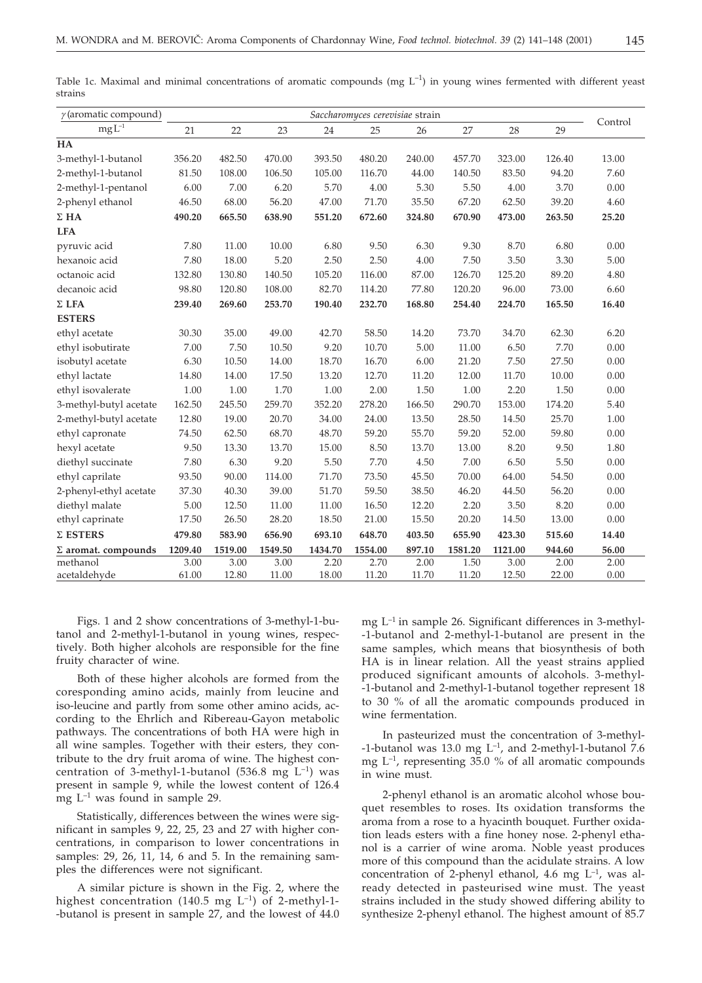| ۰   |     |  |
|-----|-----|--|
| - - | --- |  |

Table 1c. Maximal and minimal concentrations of aromatic compounds (mg  $L^{-1}$ ) in young wines fermented with different yeast strains

| $\gamma$ (aromatic compound) |               |               |               |               | Saccharomyces cerevisiae strain |               |               |               |               |              |
|------------------------------|---------------|---------------|---------------|---------------|---------------------------------|---------------|---------------|---------------|---------------|--------------|
| $\rm mg\,\overline{L^{-1}}$  | 21            | 22            | 23            | 24            | 25                              | 26            | 27            | 28            | 29            | Control      |
| HA                           |               |               |               |               |                                 |               |               |               |               |              |
| 3-methyl-1-butanol           | 356.20        | 482.50        | 470.00        | 393.50        | 480.20                          | 240.00        | 457.70        | 323.00        | 126.40        | 13.00        |
| 2-methyl-1-butanol           | 81.50         | 108.00        | 106.50        | 105.00        | 116.70                          | 44.00         | 140.50        | 83.50         | 94.20         | 7.60         |
| 2-methyl-1-pentanol          | 6.00          | 7.00          | 6.20          | 5.70          | 4.00                            | 5.30          | 5.50          | 4.00          | 3.70          | 0.00         |
| 2-phenyl ethanol             | 46.50         | 68.00         | 56.20         | 47.00         | 71.70                           | 35.50         | 67.20         | 62.50         | 39.20         | 4.60         |
| $\Sigma$ HA                  | 490.20        | 665.50        | 638.90        | 551.20        | 672.60                          | 324.80        | 670.90        | 473.00        | 263.50        | 25.20        |
| <b>LFA</b>                   |               |               |               |               |                                 |               |               |               |               |              |
| pyruvic acid                 | 7.80          | 11.00         | 10.00         | 6.80          | 9.50                            | 6.30          | 9.30          | 8.70          | 6.80          | 0.00         |
| hexanoic acid                | 7.80          | 18.00         | 5.20          | 2.50          | 2.50                            | 4.00          | 7.50          | 3.50          | 3.30          | 5.00         |
| octanoic acid                | 132.80        | 130.80        | 140.50        | 105.20        | 116.00                          | 87.00         | 126.70        | 125.20        | 89.20         | 4.80         |
| decanoic acid                | 98.80         | 120.80        | 108.00        | 82.70         | 114.20                          | 77.80         | 120.20        | 96.00         | 73.00         | 6.60         |
| $\Sigma$ LFA                 | 239.40        | 269.60        | 253.70        | 190.40        | 232.70                          | 168.80        | 254.40        | 224.70        | 165.50        | 16.40        |
| <b>ESTERS</b>                |               |               |               |               |                                 |               |               |               |               |              |
| ethyl acetate                | 30.30         | 35.00         | 49.00         | 42.70         | 58.50                           | 14.20         | 73.70         | 34.70         | 62.30         | 6.20         |
| ethyl isobutirate            | 7.00          | 7.50          | 10.50         | 9.20          | 10.70                           | 5.00          | 11.00         | 6.50          | 7.70          | 0.00         |
| isobutyl acetate             | 6.30          | 10.50         | 14.00         | 18.70         | 16.70                           | 6.00          | 21.20         | 7.50          | 27.50         | 0.00         |
| ethyl lactate                | 14.80         | 14.00         | 17.50         | 13.20         | 12.70                           | 11.20         | 12.00         | 11.70         | 10.00         | 0.00         |
| ethyl isovalerate            | 1.00          | 1.00          | 1.70          | 1.00          | 2.00                            | 1.50          | 1.00          | 2.20          | 1.50          | 0.00         |
| 3-methyl-butyl acetate       | 162.50        | 245.50        | 259.70        | 352.20        | 278.20                          | 166.50        | 290.70        | 153.00        | 174.20        | 5.40         |
| 2-methyl-butyl acetate       | 12.80         | 19.00         | 20.70         | 34.00         | 24.00                           | 13.50         | 28.50         | 14.50         | 25.70         | 1.00         |
| ethyl capronate              | 74.50         | 62.50         | 68.70         | 48.70         | 59.20                           | 55.70         | 59.20         | 52.00         | 59.80         | 0.00         |
| hexyl acetate                | 9.50          | 13.30         | 13.70         | 15.00         | 8.50                            | 13.70         | 13.00         | 8.20          | 9.50          | 1.80         |
| diethyl succinate            | 7.80          | 6.30          | 9.20          | 5.50          | 7.70                            | 4.50          | 7.00          | 6.50          | 5.50          | 0.00         |
| ethyl caprilate              | 93.50         | 90.00         | 114.00        | 71.70         | 73.50                           | 45.50         | 70.00         | 64.00         | 54.50         | 0.00         |
| 2-phenyl-ethyl acetate       | 37.30         | 40.30         | 39.00         | 51.70         | 59.50                           | 38.50         | 46.20         | 44.50         | 56.20         | 0.00         |
| diethyl malate               | 5.00          | 12.50         | 11.00         | 11.00         | 16.50                           | 12.20         | 2.20          | 3.50          | 8.20          | 0.00         |
| ethyl caprinate              | 17.50         | 26.50         | 28.20         | 18.50         | 21.00                           | 15.50         | 20.20         | 14.50         | 13.00         | 0.00         |
| $\Sigma$ ESTERS              | 479.80        | 583.90        | 656.90        | 693.10        | 648.70                          | 403.50        | 655.90        | 423.30        | 515.60        | 14.40        |
| $\Sigma$ aromat. compounds   | 1209.40       | 1519.00       | 1549.50       | 1434.70       | 1554.00                         | 897.10        | 1581.20       | 1121.00       | 944.60        | 56.00        |
| methanol<br>acetaldehyde     | 3.00<br>61.00 | 3.00<br>12.80 | 3.00<br>11.00 | 2.20<br>18.00 | 2.70<br>11.20                   | 2.00<br>11.70 | 1.50<br>11.20 | 3.00<br>12.50 | 2.00<br>22.00 | 2.00<br>0.00 |

Figs. 1 and 2 show concentrations of 3-methyl-1-butanol and 2-methyl-1-butanol in young wines, respectively. Both higher alcohols are responsible for the fine fruity character of wine.

Both of these higher alcohols are formed from the coresponding amino acids, mainly from leucine and iso-leucine and partly from some other amino acids, according to the Ehrlich and Ribereau-Gayon metabolic pathways. The concentrations of both HA were high in all wine samples. Together with their esters, they contribute to the dry fruit aroma of wine. The highest concentration of 3-methyl-1-butanol (536.8 mg  $L^{-1}$ ) was present in sample 9, while the lowest content of 126.4 mg  $L^{-1}$  was found in sample 29.

Statistically, differences between the wines were significant in samples 9, 22, 25, 23 and 27 with higher concentrations, in comparison to lower concentrations in samples:  $29$ ,  $26$ ,  $11$ ,  $14$ ,  $6$  and  $5$ . In the remaining samples the differences were not significant.

A similar picture is shown in the Fig. 2, where the highest concentration (140.5 mg  $L^{-1}$ ) of 2-methyl-1--butanol is present in sample 27, and the lowest of 44.0 mg  $L^{-1}$  in sample 26. Significant differences in 3-methyl--1-butanol and 2-methyl-1-butanol are present in the same samples, which means that biosynthesis of both HA is in linear relation. All the yeast strains applied produced significant amounts of alcohols. 3-methyl- -1-butanol and 2-methyl-1-butanol together represent 18 to 30 % of all the aromatic compounds produced in wine fermentation.

In pasteurized must the concentration of 3-methyl- -1-butanol was 13.0 mg  $L^{-1}$ , and 2-methyl-1-butanol 7.6 mg  $L^{-1}$ , representing 35.0 % of all aromatic compounds in wine must.

2-phenyl ethanol is an aromatic alcohol whose bouquet resembles to roses. Its oxidation transforms the aroma from a rose to a hyacinth bouquet. Further oxidation leads esters with a fine honey nose. 2-phenyl ethanol is a carrier of wine aroma. Noble yeast produces more of this compound than the acidulate strains. A low concentration of 2-phenyl ethanol, 4.6 mg  $L^{-1}$ , was already detected in pasteurised wine must. The yeast strains included in the study showed differing ability to synthesize 2-phenyl ethanol. The highest amount of 85.7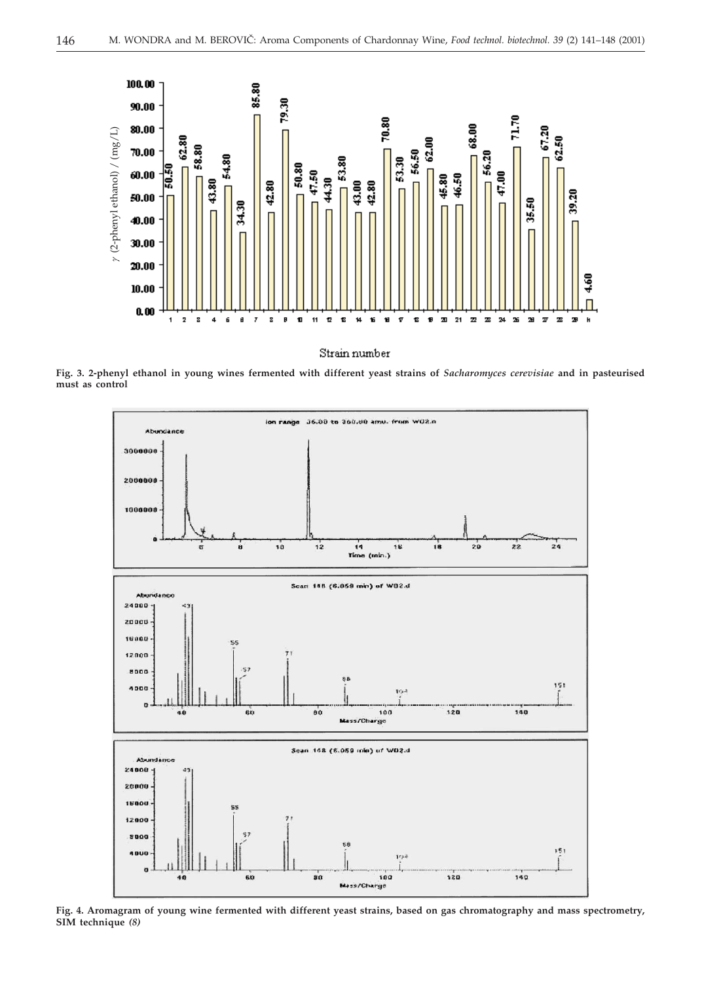

Strain number

**Fig. 3. 2-phenyl ethanol in young wines fermented with different yeast strains of** *Sacharomyces cerevisiae* **and in pasteurised must as control**



**Fig. 4. Aromagram of young wine fermented with different yeast strains, based on gas chromatography and mass spectrometry, SIM technique** *(8)*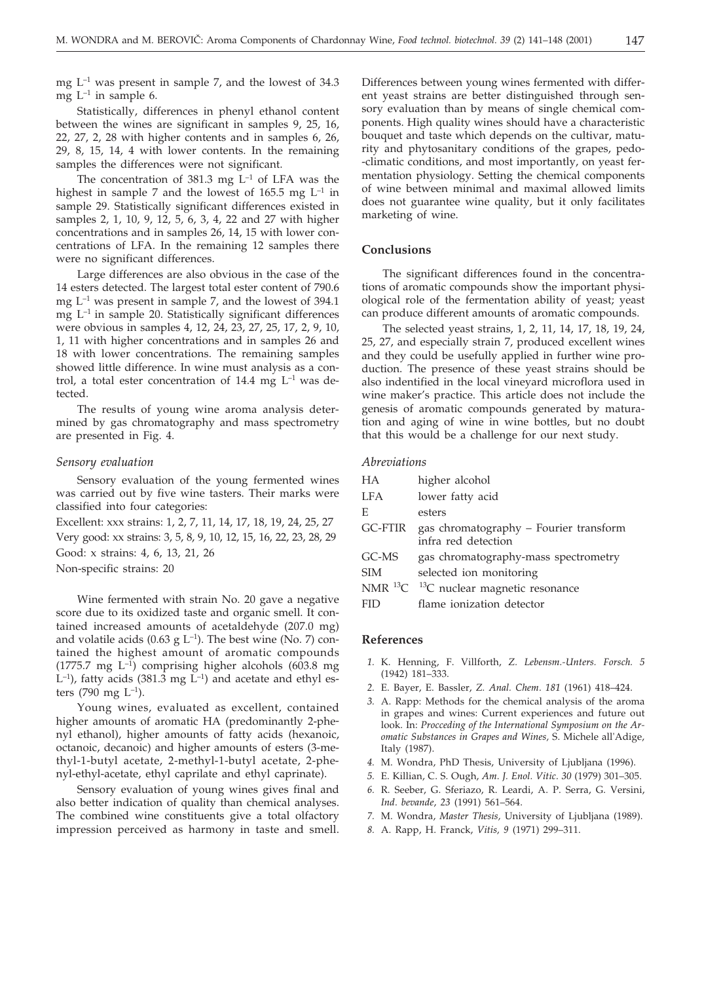mg L–1 was present in sample 7, and the lowest of 34.3 mg  $L^{-1}$  in sample 6.

Statistically, differences in phenyl ethanol content between the wines are significant in samples 9, 25, 16, 22, 27, 2, 28 with higher contents and in samples 6, 26, 29, 8, 15, 14, 4 with lower contents. In the remaining samples the differences were not significant.

The concentration of 381.3 mg  $L^{-1}$  of LFA was the highest in sample 7 and the lowest of 165.5 mg  $L^{-1}$  in sample 29. Statistically significant differences existed in samples 2, 1, 10, 9, 12, 5, 6, 3, 4, 22 and 27 with higher concentrations and in samples 26, 14, 15 with lower concentrations of LFA. In the remaining 12 samples there were no significant differences.

Large differences are also obvious in the case of the 14 esters detected. The largest total ester content of 790.6 mg  $L^{-1}$  was present in sample 7, and the lowest of 394.1 mg  $L^{-1}$  in sample 20. Statistically significant differences were obvious in samples 4, 12, 24, 23, 27, 25, 17, 2, 9, 10, 1, 11 with higher concentrations and in samples 26 and 18 with lower concentrations. The remaining samples showed little difference. In wine must analysis as a control, a total ester concentration of 14.4 mg  $L^{-1}$  was detected.

The results of young wine aroma analysis determined by gas chromatography and mass spectrometry are presented in Fig. 4.

#### *Sensory evaluation*

Sensory evaluation of the young fermented wines was carried out by five wine tasters. Their marks were classified into four categories:

Excellent: xxx strains: 1, 2, 7, 11, 14, 17, 18, 19, 24, 25, 27 Very good: xx strains: 3, 5, 8, 9, 10, 12, 15, 16, 22, 23, 28, 29

Good: x strains: 4, 6, 13, 21, 26

Non-specific strains: 20

Wine fermented with strain No. 20 gave a negative score due to its oxidized taste and organic smell. It contained increased amounts of acetaldehyde (207.0 mg) and volatile acids (0.63 g  $L^{-1}$ ). The best wine (No. 7) contained the highest amount of aromatic compounds (1775.7 mg  $L^{-1}$ ) comprising higher alcohols (603.8 mg  $L^{-1}$ ), fatty acids (381.3 mg  $L^{-1}$ ) and acetate and ethyl esters (790 mg  $L^{-1}$ ).

Young wines, evaluated as excellent, contained higher amounts of aromatic HA (predominantly 2-phenyl ethanol), higher amounts of fatty acids (hexanoic, octanoic, decanoic) and higher amounts of esters (3-methyl-1-butyl acetate, 2-methyl-1-butyl acetate, 2-phenyl-ethyl-acetate, ethyl caprilate and ethyl caprinate).

Sensory evaluation of young wines gives final and also better indication of quality than chemical analyses. The combined wine constituents give a total olfactory impression perceived as harmony in taste and smell.

Differences between young wines fermented with different yeast strains are better distinguished through sensory evaluation than by means of single chemical components. High quality wines should have a characteristic bouquet and taste which depends on the cultivar, maturity and phytosanitary conditions of the grapes, pedo- -climatic conditions, and most importantly, on yeast fermentation physiology. Setting the chemical components of wine between minimal and maximal allowed limits does not guarantee wine quality, but it only facilitates marketing of wine.

# **Conclusions**

The significant differences found in the concentrations of aromatic compounds show the important physiological role of the fermentation ability of yeast; yeast can produce different amounts of aromatic compounds.

The selected yeast strains, 1, 2, 11, 14, 17, 18, 19, 24, 25, 27, and especially strain 7, produced excellent wines and they could be usefully applied in further wine production. The presence of these yeast strains should be also indentified in the local vineyard microflora used in wine maker's practice. This article does not include the genesis of aromatic compounds generated by maturation and aging of wine in wine bottles, but no doubt that this would be a challenge for our next study.

#### *Abreviations*

| HА         | higher alcohol                                                |
|------------|---------------------------------------------------------------|
| LFA        | lower fatty acid                                              |
| E          | esters                                                        |
| GC-FTIR    | gas chromatography – Fourier transform<br>infra red detection |
| GC-MS      | gas chromatography-mass spectrometry                          |
| <b>SIM</b> | selected ion monitoring                                       |
|            | NMR $^{13}$ C $^{-13}$ C nuclear magnetic resonance           |
| FID        | flame ionization detector                                     |

# **References**

- *1.* K. Henning, F. Villforth, *Z. Lebensm.-Unters. Forsch. 5* (1942) 181–333.
- *2.* E. Bayer, E. Bassler, *Z. Anal. Chem*. *181* (1961) 418–424.
- *3.* A. Rapp: Methods for the chemical analysis of the aroma in grapes and wines: Current experiences and future out look. In: *Procceding of the International Symposium on the Aromatic Substances in Grapes and Wines,* S. Michele all'Adige, Italy (1987).
- *4.* M. Wondra, PhD Thesis, University of Ljubljana (1996).
- *5.* E. Killian, C. S. Ough, *Am*. *J. Enol. Vitic*. *30* (1979) 301–305.
- *6.* R. Seeber, G. Sferiazo, R. Leardi, A. P. Serra, G. Versini, *Ind*. *bevande*, *23* (1991) 561–564.
- *7.* M. Wondra, *Master Thesis,* University of Ljubljana (1989).
- *8.* A. Rapp, H. Franck, *Vitis, 9* (1971) 299–311.